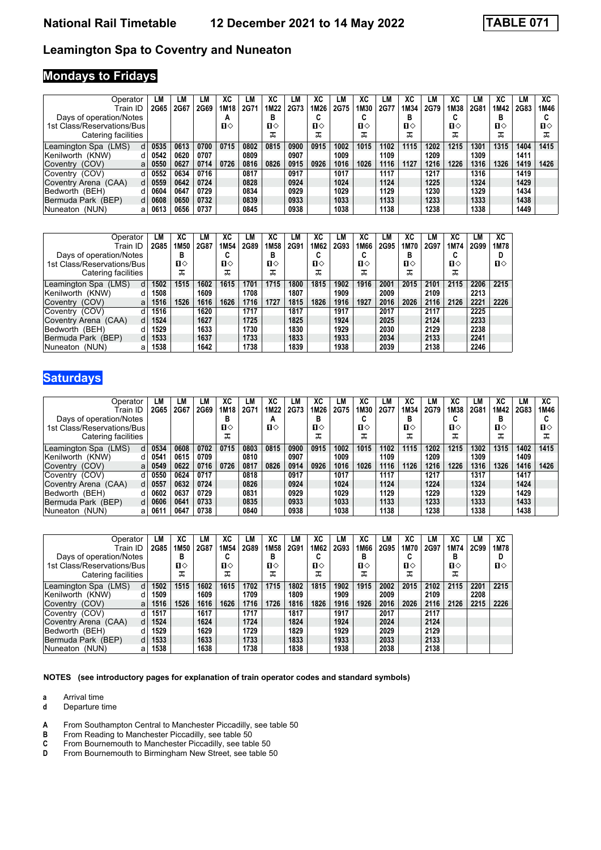#### **Leamington Spa to Coventry and Nuneaton**

### **Mondays to Fridays**

| Operator<br>Train ID        | LM<br>2G65 | LМ<br>2G67 | LM<br>2G69 | ХC<br>1M18   | LМ<br>2G7' | XC<br>1M22 | LM<br>2G73 | XC<br>1M26 | LM<br>2G75 | ХC<br>1M30 | LM<br>2G77 | ХC<br>1M34 | LM<br>2G79 | XC<br>1M38   | LМ<br><b>2G81</b> | ХC<br>1M42 | LМ<br>2G83 | XC<br>1M46   |
|-----------------------------|------------|------------|------------|--------------|------------|------------|------------|------------|------------|------------|------------|------------|------------|--------------|-------------------|------------|------------|--------------|
| Days of operation/Notes     |            |            |            | A            |            | в          |            | u          |            | ◠<br>u     |            | в          |            | u            |                   | в          |            |              |
| 1st Class/Reservations/Bus  |            |            |            | $\mathbf{u}$ |            | п⇔         |            | п⇔         |            | п⇔         |            | п⇔         |            | $\mathbf{u}$ |                   | п⇔         |            | $\mathbf{n}$ |
| Catering facilities         |            |            |            |              |            | ᠼ          |            | ᠼ          |            | ᠼ          |            | ᇁ          |            | ᅚ            |                   | ᠼ          |            | ᠼ            |
| Leamington Spa (LMS)<br>d   | 0535       | 0613       | 0700       | 0715         | 0802       | 0815       | 0900       | 0915       | 1002       | 1015       | 1102       | 1115       | 1202       | 1215         | 1301              | 1315       | 1404       | 1415         |
| Kenilworth (KNW)<br>а       | 0542       | 0620       | 0707       |              | 0809       |            | 0907       |            | 1009       |            | 1109       |            | 1209       |              | 1309              |            | 1411       |              |
| Coventry (COV)<br>a         | 0550       | 0627       | 0714       | 0726         | 0816       | 0826       | 0915       | 0926       | 1016       | 1026       | 1116       | 1127       | 1216       | 1226         | 1316              | 1326       | 1419       | 1426         |
| Coventry (COV)              | 0552       | 0634       | 0716       |              | 0817       |            | 0917       |            | 1017       |            | 1117       |            | 1217       |              | 1316              |            | 1419       |              |
| Coventry Arena (CAA)<br>d   | 0559       | 0642       | 0724       |              | 0828       |            | 0924       |            | 1024       |            | 1124       |            | 1225       |              | 1324              |            | 1429       |              |
| Bedworth (BEH)<br>d         | 0604       | 0647       | 0729       |              | 0834       |            | 0929       |            | 1029       |            | 1129       |            | 1230       |              | 1329              |            | 1434       |              |
| Bermuda Park (BEP)<br>d     | 0608       | 0650       | 0732       |              | 0839       |            | 0933       |            | 1033       |            | 1133       |            | 1233       |              | 1333              |            | 1438       |              |
| Nuneaton <i>(</i> NUN)<br>a | 0613       | 0656       | 0737       |              | 0845       |            | 0938       |            | 1038       |            | 1138       |            | 1238       |              | 1338              |            | 1449       |              |

| Operator                   | LМ          | XC   | LМ   | XC               | LМ   | XC   | LM   | XC           | LМ   | ХC   | LM   | ХC   | LМ   | XC   | LМ   | XC   |
|----------------------------|-------------|------|------|------------------|------|------|------|--------------|------|------|------|------|------|------|------|------|
| Train ID                   | <b>2G85</b> | 1M50 | 2G87 | 1M <sub>54</sub> | 2G89 | 1M58 | 2G91 | 1M62         | 2G93 | 1M66 | 2G95 | 1M70 | 2G97 | 1M74 | 2G99 | 1M78 |
| Days of operation/Notes    |             | в    |      | ı.               |      | в    |      | u            |      |      |      | в    |      |      |      |      |
| 1st Class/Reservations/Bus |             | п⇔   |      | п⇔               |      | п⇔   |      | $\mathbf{n}$ |      | п⇔   |      | п⇔   |      | п⇔   |      | п⇔   |
| Catering facilities        |             | ᠼ    |      | ᠼ                |      | ᠼ    |      | ᠼ            |      | ᠼ    |      | ᠼ    |      | ᠼ    |      |      |
| Leamington Spa (LMS)       | 1502        | 1515 | 1602 | 1615             | 1701 | 1715 | 1800 | 1815         | 1902 | 1916 | 2001 | 2015 | 2101 | 2115 | 2206 | 2215 |
| Kenilworth (KNW)           | 1508        |      | 1609 |                  | 1708 |      | 1807 |              | 1909 |      | 2009 |      | 2109 |      | 2213 |      |
| Coventry (COV)<br>a        | 1516        | 1526 | 1616 | 1626             | 1716 | 1727 | 1815 | 1826         | 1916 | 1927 | 2016 | 2026 | 2116 | 2126 | 2221 | 2226 |
| Coventry (COV)             | 1516        |      | 1620 |                  | 1717 |      | 1817 |              | 1917 |      | 2017 |      | 2117 |      | 2225 |      |
| Coventry Arena (CAA)       | 1524        |      | 1627 |                  | 1725 |      | 1825 |              | 1924 |      | 2025 |      | 2124 |      | 2233 |      |
| Bedworth (BEH)             | 1529        |      | 1633 |                  | 1730 |      | 1830 |              | 1929 |      | 2030 |      | 2129 |      | 2238 |      |
| Bermuda Park (BEP)         | 1533        |      | 1637 |                  | 1733 |      | 1833 |              | 1933 |      | 2034 |      | 2133 |      | 2241 |      |
| INuneaton (NUN)<br>а       | 1538        |      | 1642 |                  | 1738 |      | 1839 |              | 1938 |      | 2039 |      | 2138 |      | 2246 |      |

# **Saturdays**

| Operator                   | LМ          | LМ   | LM   | ХC   | LМ   | ХC   | LM   | XC   | LM   | ХC   | LM   | ХC   | LM   | XC   | LM   | ХC           | LM          | ХC           |
|----------------------------|-------------|------|------|------|------|------|------|------|------|------|------|------|------|------|------|--------------|-------------|--------------|
| Train ID                   | <b>2G65</b> | 2G67 | 2G69 | 1M18 | 2G71 | 1M22 | 2G73 | 1M26 | 2G75 | 1M30 | 2G77 | 1M34 | 2G79 | 1M38 | 2G81 | 1M42         | <b>2G83</b> | 1M46         |
| Days of operation/Notes    |             |      |      | в    |      | А    |      | D    |      | u    |      | в    |      |      |      | в            |             |              |
| 1st Class/Reservations/Bus |             |      |      | п⇔   |      | п⇔   |      | п⇔   |      | п⇔   |      | п⇔   |      | п⇔   |      | $\mathbf{n}$ |             | $\mathbf{n}$ |
| Catering facilities        |             |      |      | ᠼ    |      |      |      | ᠼ    |      | ᠼ    |      | ᠼ    |      | ᠼ    |      | ᠼ            |             | ᠼ            |
| Leamington Spa (LMS)<br>d  | 0534        | 0608 | 0702 | 0715 | 0803 | 0815 | 0900 | 0915 | 1002 | 1015 | 1102 | 1115 | 1202 | 1215 | 1302 | 1315         | 1402        | 1415         |
| Kenilworth (KNW)<br>d      | 0541        | 0615 | 0709 |      | 0810 |      | 0907 |      | 1009 |      | 1109 |      | 1209 |      | 1309 |              | 1409        |              |
| Coventry (COV)<br>a        | 0549        | 0622 | 0716 | 0726 | 0817 | 0826 | 0914 | 0926 | 1016 | 1026 | 1116 | 1126 | 1216 | 1226 | 1316 | 1326         | 1416        | 1426         |
| Coventry (COV)             | 0550        | 0624 | 0717 |      | 0818 |      | 0917 |      | 1017 |      | 1117 |      | 1217 |      | 1317 |              | 1417        |              |
| Coventry Arena (CAA)<br>d  | 0557        | 0632 | 0724 |      | 0826 |      | 0924 |      | 1024 |      | 1124 |      | 1224 |      | 1324 |              | 1424        |              |
| Bedworth (BEH)             | 0602        | 0637 | 0729 |      | 0831 |      | 0929 |      | 1029 |      | 1129 |      | 1229 |      | 1329 |              | 1429        |              |
| Bermuda Park (BEP)<br>d    | 0606        | 0641 | 0733 |      | 0835 |      | 0933 |      | 1033 |      | 1133 |      | 1233 |      | 1333 |              | 1433        |              |
| Nuneaton (NUN)<br>а        | 061'        | 0647 | 0738 |      | 0840 |      | 0938 |      | 1038 |      | 1138 |      | 1238 |      | 1338 |              | 1438        |              |

| Operator                   | LМ          | XC   | LМ   | ХC               | LМ   | XC               | LМ   | XC           | LМ   | ХC   | LM   | ХC     | LМ   | XC   | LМ   | XC   |
|----------------------------|-------------|------|------|------------------|------|------------------|------|--------------|------|------|------|--------|------|------|------|------|
| Train ID                   | <b>2G85</b> | 1M50 | 2G87 | 1M <sub>54</sub> | 2G89 | 1M <sub>58</sub> | 2G91 | 1M62         | 2G93 | 1M66 | 2G95 | 1M70   | 2G97 | 1M74 | 2C99 | 1M78 |
| Days of operation/Notes    |             | в    |      | ı.               |      | в                |      | u            |      | в    |      | ∼<br>u |      | в    |      |      |
| 1st Class/Reservations/Bus |             | п⇔   |      | $\mathbf{u}$     |      | п⇔               |      | $\mathbf{n}$ |      | п⇔   |      | п⇔     |      | п⇔   |      | п⇔   |
| Catering facilities        |             | ᠼ    |      | ᠼ                |      | ᠼ                |      | ᠼ            |      | ᠼ    |      | ᠼ      |      | ᠼ    |      |      |
| Leamington Spa (LMS)       | 1502        | 1515 | 1602 | 1615             | 1702 | 1715             | 1802 | 1815         | 1902 | 1915 | 2002 | 2015   | 2102 | 2115 | 2201 | 2215 |
| Kenilworth (KNW)           | 1509        |      | 1609 |                  | 1709 |                  | 1809 |              | 1909 |      | 2009 |        | 2109 |      | 2208 |      |
| Coventry (COV)<br>a        | 1516        | 1526 | 1616 | 1626             | 1716 | 1726             | 1816 | 1826         | 1916 | 1926 | 2016 | 2026   | 2116 | 2126 | 2215 | 2226 |
| Coventry (COV)             | 1517        |      | 1617 |                  | 1717 |                  | 1817 |              | 1917 |      | 2017 |        | 2117 |      |      |      |
| Coventry Arena (CAA)       | 1524        |      | 1624 |                  | 1724 |                  | 1824 |              | 1924 |      | 2024 |        | 2124 |      |      |      |
| Bedworth (BEH)             | 1529        |      | 1629 |                  | 1729 |                  | 1829 |              | 1929 |      | 2029 |        | 2129 |      |      |      |
| Bermuda Park (BEP)         | 1533        |      | 1633 |                  | 1733 |                  | 1833 |              | 1933 |      | 2033 |        | 2133 |      |      |      |
| INuneaton (NUN)<br>а       | 1538        |      | 1638 |                  | 1738 |                  | 1838 |              | 1938 |      | 2038 |        | 2138 |      |      |      |

**NOTES (see introductory pages for explanation of train operator codes and standard symbols)**

**a** Arrival time<br>**d** Departure t

- **d** Departure time
- **A** From Southampton Central to Manchester Piccadilly, see table 50<br>**B** From Reading to Manchester Piccadilly, see table 50
- **B** From Reading to Manchester Piccadilly, see table 50<br>**C** From Bournemouth to Manchester Piccadilly, see table
- **C** From Bournemouth to Manchester Piccadilly see table 5
- **D** From Bournemouth to Birmingham New Street, see table 50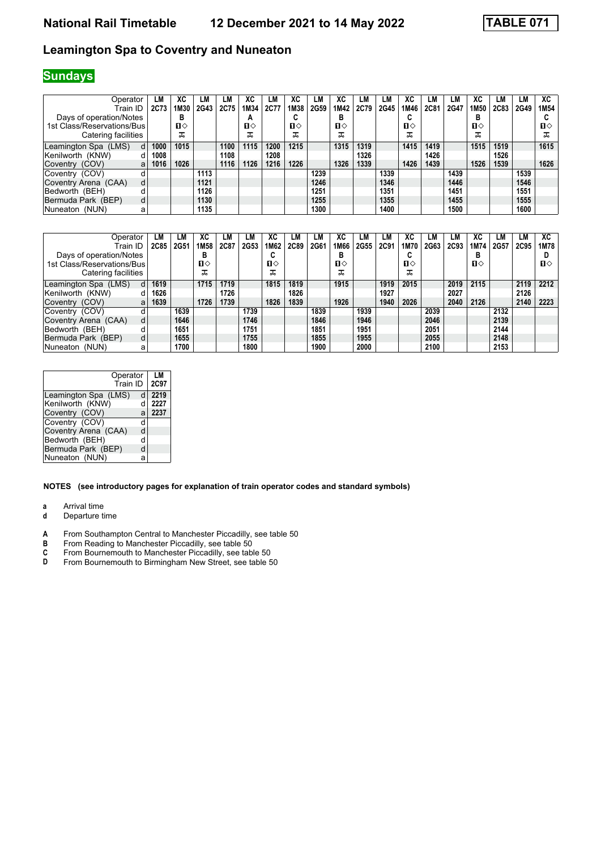### **National Rail Timetable 12 December 2021 to 14 May 2022 TABLE 071**

#### **Leamington Spa to Coventry and Nuneaton**

# **Sundays**

| Operator                   | LM   | ХC   | LM   | LM   | ХC           | LМ   | XC   | LM   | ХC           | LM   | LM   | xс           | LM   | LM   | ХC   | LM   | LM   | XC               |
|----------------------------|------|------|------|------|--------------|------|------|------|--------------|------|------|--------------|------|------|------|------|------|------------------|
| Train ID                   | 2C73 | 1M30 | 2G43 | 2C75 | 1M34         | 2C77 | 1M38 | 2G59 | 1M42         | 2C79 | 2G45 | 1M46         | 2C81 | 2G47 | 1M50 | 2C83 | 2G49 | 1M <sub>54</sub> |
| Days of operation/Notes    |      | в    |      |      | А            |      | u    |      | в            |      |      | u            |      |      | в    |      |      |                  |
| 1st Class/Reservations/Bus |      | П⇔   |      |      | $\mathbf{n}$ |      | П⇔   |      | $\mathbf{n}$ |      |      | $\mathbf{n}$ |      |      | п⇔   |      |      | п⇔               |
| Catering facilities        |      | ᠼ    |      |      | പ്പ          |      | ᠼ    |      | ᠼ            |      |      | ᠼ            |      |      | ᠼ    |      |      | ისი              |
| Leamington Spa (LMS)<br>d  | 1000 | 1015 |      | 1100 | 1115         | 1200 | 1215 |      | 1315         | 1319 |      | 1415         | 1419 |      | 1515 | 1519 |      | 1615             |
| Kenilworth (KNW)<br>d      | 1008 |      |      | 1108 |              | 1208 |      |      |              | 1326 |      |              | 1426 |      |      | 1526 |      |                  |
| Coventry (COV)<br>a        | 1016 | 1026 |      | 1116 | 1126         | 1216 | 1226 |      | 1326         | 1339 |      | 1426         | 1439 |      | 1526 | 1539 |      | 1626             |
| Coventry (COV)<br>d        |      |      | 1113 |      |              |      |      | 1239 |              |      | 1339 |              |      | 1439 |      |      | 1539 |                  |
| Coventry Arena (CAA)<br>d  |      |      | 1121 |      |              |      |      | 1246 |              |      | 1346 |              |      | 1446 |      |      | 1546 |                  |
| Bedworth (BEH)<br>d        |      |      | 1126 |      |              |      |      | 1251 |              |      | 1351 |              |      | 1451 |      |      | 1551 |                  |
| Bermuda Park (BEP)<br>d    |      |      | 1130 |      |              |      |      | 1255 |              |      | 1355 |              |      | 1455 |      |      | 1555 |                  |
| INuneaton (NUN)<br>а       |      |      | 1135 |      |              |      |      | 1300 |              |      | 1400 |              |      | 1500 |      |      | 1600 |                  |

| Operator                   | LM   | LМ   | ХC               |      | LМ   | XC   | LM   | LM   | ХC           | LM   | LM   | ХC           | LМ   | LМ   | ХC   | LM   | LM   | XC   |
|----------------------------|------|------|------------------|------|------|------|------|------|--------------|------|------|--------------|------|------|------|------|------|------|
| Train ID                   | 2C85 | 2G51 | 1M <sub>58</sub> | 2C87 | 2G53 | 1M62 | 2C89 | 2G61 | 1M66         | 2G55 | 2C91 | 1M70         | 2G63 | 2C93 | 1M74 | 2G57 | 2C95 | 1M78 |
| Days of operation/Notes    |      |      | в                |      |      | u    |      |      | В            |      |      | ~<br>u       |      |      | в    |      |      |      |
| 1st Class/Reservations/Bus |      |      | п⇔               |      |      | п⇔   |      |      | $\mathbf{u}$ |      |      | $\mathbf{n}$ |      |      | п⇔   |      |      | п⇔   |
| Catering facilities        |      |      | പ്പ              |      |      | ᠼ    |      |      | ᠼ            |      |      | ᠼ            |      |      |      |      |      |      |
| Leamington Spa (LMS)<br>d  | 1619 |      | 1715             | 1719 |      | 1815 | 1819 |      | 1915         |      | 1919 | 2015         |      | 2019 | 2115 |      | 2119 | 2212 |
| Kenilworth (KNW)           | 1626 |      |                  | 1726 |      |      | 1826 |      |              |      | 1927 |              |      | 2027 |      |      | 2126 |      |
| Coventry (COV)<br>a        | 1639 |      | 1726             | 1739 |      | 1826 | 1839 |      | 1926         |      | 1940 | 2026         |      | 2040 | 2126 |      | 2140 | 2223 |
| Coventry (COV)             |      | 1639 |                  |      | 1739 |      |      | 1839 |              | 1939 |      |              | 2039 |      |      | 2132 |      |      |
| Coventry Arena (CAA)<br>d  |      | 1646 |                  |      | 1746 |      |      | 1846 |              | 1946 |      |              | 2046 |      |      | 2139 |      |      |
| Bedworth (BEH)<br>d        |      | 1651 |                  |      | 1751 |      |      | 1851 |              | 1951 |      |              | 2051 |      |      | 2144 |      |      |
| Bermuda Park (BEP)<br>d    |      | 1655 |                  |      | 1755 |      |      | 1855 |              | 1955 |      |              | 2055 |      |      | 2148 |      |      |
| Nuneaton (NUN)<br>а        |      | 1700 |                  |      | 1800 |      |      | 1900 |              | 2000 |      |              | 2100 |      |      | 2153 |      |      |

| Operator<br>Train ID |   | LM<br>2C97 |
|----------------------|---|------------|
| Leamington Spa (LMS) | d | 2219       |
| Kenilworth (KNW)     | d | 2227       |
| Coventry (COV)       | a | 2237       |
| Coventry (COV)       | d |            |
| Coventry Arena (CAA) | d |            |
| Bedworth (BEH)       | d |            |
| Bermuda Park (BEP)   | d |            |
| Nuneaton (NUN)       | а |            |

#### **NOTES (see introductory pages for explanation of train operator codes and standard symbols)**

**a** Arrival time<br>**d** Departure t

**d** Departure time

- **A** From Southampton Central to Manchester Piccadilly, see table 50<br>**B** From Reading to Manchester Piccadilly, see table 50
- 
- **B** From Reading to Manchester Piccadilly, see table 50<br>**C** From Bournemouth to Manchester Piccadilly, see table<br>**D** From Bournemouth to Birmingham New Street, see table **C** From Bournemouth to Manchester Piccadilly, see table 50
- **D** From Bournemouth to Birmingham New Street, see table 50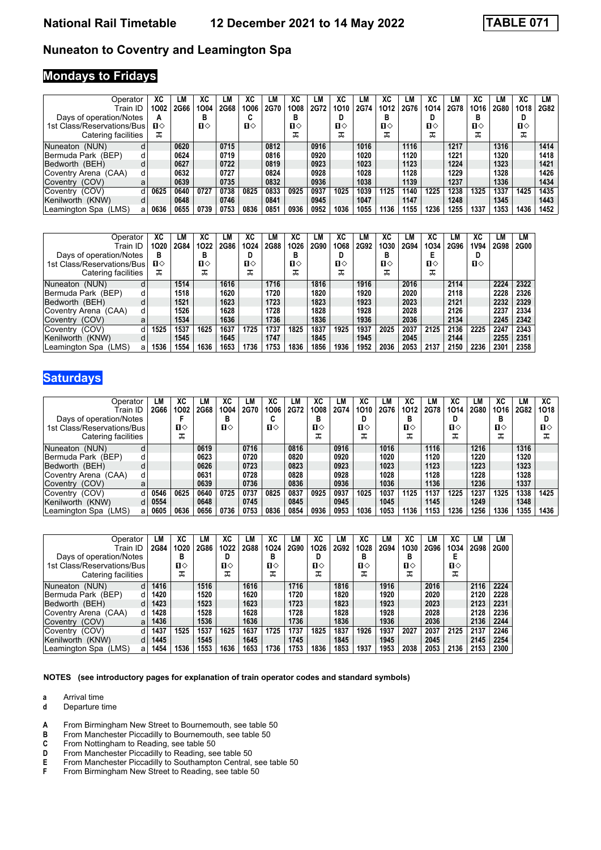### **Nuneaton to Coventry and Leamington Spa**

### **Mondays to Fridays**

| Operator<br>Train ID         | XC<br>1002   | LM<br>2G66 | ХC<br>1004 | LM<br>2G68 | ХC<br>1006   | LM<br>2G70 | ХC<br>1008 | LM<br>2G72 | ХC<br>1010   | LМ<br>2G74 | XC<br>1012 | LΜ<br>2G76 | XC<br>1014   | LМ<br>2G78 | ХC<br>1016 | LM<br>2G80 | ХC<br>1018   | LМ<br>2G82 |
|------------------------------|--------------|------------|------------|------------|--------------|------------|------------|------------|--------------|------------|------------|------------|--------------|------------|------------|------------|--------------|------------|
| Days of operation/Notes      |              |            | в          |            | u            |            | в          |            |              |            | D          |            | D            |            | в          |            | D            |            |
| 1st Class/Reservations/Bus   | $\mathbf{n}$ |            | п⇔         |            | $\mathbf{n}$ |            | п⇔         |            | $\mathbf{u}$ |            | п⇔         |            | $\mathbf{u}$ |            | п⇔         |            | $\mathbf{u}$ |            |
| Catering facilities          | ᠼ            |            |            |            |              |            | ᠼ          |            | ᅚ            |            | ᠼ          |            | ᠼ            |            |            |            | ᠼ            |            |
| Nuneaton (NUN)<br>d          |              | 0620       |            | 0715       |              | 0812       |            | 0916       |              | 1016       |            | 1116       |              | 1217       |            | 1316       |              | 1414       |
| Bermuda Park (BEP)<br>d      |              | 0624       |            | 0719       |              | 0816       |            | 0920       |              | 1020       |            | 1120       |              | 1221       |            | 1320       |              | 1418       |
| Bedworth (BEH)<br>d          |              | 0627       |            | 0722       |              | 0819       |            | 0923       |              | 1023       |            | 1123       |              | 1224       |            | 1323       |              | 1421       |
| Coventry Arena (CAA)<br>d    |              | 0632       |            | 0727       |              | 0824       |            | 0928       |              | 1028       |            | 1128       |              | 1229       |            | 1328       |              | 1426       |
| Coventry (COV)<br>a          |              | 0639       |            | 0735       |              | 0832       |            | 0936       |              | 1038       |            | 1139       |              | 1237       |            | 1336       |              | 1434       |
| Coventry (COV)<br>d          | 0625         | 0640       | 0727       | 0738       | 0825         | 0833       | 0925       | 0937       | 1025         | 1039       | 1125       | 1140       | 1225         | 1238       | 1325       | 1337       | 1425         | 1435       |
| Kenilworth (KNW)<br>d        |              | 0648       |            | 0746       |              | 0841       |            | 0945       |              | 1047       |            | 1147       |              | 1248       |            | 1345       |              | 1443       |
| Leamington Spa<br>(LMS)<br>a | 0636         | 0655       | 0739       | 0753       | 0836         | 0851       | 0936       | 0952       | 1036         | 1055       | 1136       | 1155       | 1236         | 1255       | 1337       | 1353       | 1436         | 1452       |

| Operator                   |   | ХC   | LМ   | ХC   | LM   | ХC   | LМ          | ХC   | LМ   | ХC           | LM   | ХC   | LМ   | ХC   | LМ          | ХC    | LМ   | LM   |
|----------------------------|---|------|------|------|------|------|-------------|------|------|--------------|------|------|------|------|-------------|-------|------|------|
| Train ID                   |   | 1020 | 2G84 | 1022 | 2G86 | 1024 | <b>2G88</b> | 1026 | 2G90 | 1068         | 2G92 | 1030 | 2G94 | 1034 | <b>2G96</b> | 1V94  | 2G98 | 2G00 |
| Days of operation/Notes    |   | в    |      | в    |      | D    |             | в    |      | D            |      | в    |      |      |             | D     |      |      |
| 1st Class/Reservations/Bus |   | п⇔   |      | п⇔   |      | п⇔   |             | п⇔   |      | $\mathbf{n}$ |      | п⇔   |      | п⇔   |             | $\Pi$ |      |      |
| Catering facilities        |   | ᠼ    |      | ᠼ    |      | ᠼ    |             | ᠼ    |      | ᠼ            |      | ᠼ    |      | ᠼ    |             |       |      |      |
| Nuneaton (NUN)             |   |      | 1514 |      | 1616 |      | 1716        |      | 1816 |              | 1916 |      | 2016 |      | 2114        |       | 2224 | 2322 |
| Bermuda Park (BEP)         |   |      | 1518 |      | 1620 |      | 1720        |      | 1820 |              | 1920 |      | 2020 |      | 2118        |       | 2228 | 2326 |
| Bedworth (BEH)             |   |      | 1521 |      | 1623 |      | 1723        |      | 1823 |              | 1923 |      | 2023 |      | 2121        |       | 2232 | 2329 |
| Coventry Arena (CAA)       | d |      | 1526 |      | 1628 |      | 1728        |      | 1828 |              | 1928 |      | 2028 |      | 2126        |       | 2237 | 2334 |
| Coventry (COV)             | a |      | 1534 |      | 1636 |      | 1736        |      | 1836 |              | 1936 |      | 2036 |      | 2134        |       | 2245 | 2342 |
| Coventry (COV)             |   | 1525 | 1537 | 1625 | 1637 | 1725 | 1737        | 1825 | 1837 | 1925         | 1937 | 2025 | 2037 | 2125 | 2136        | 2225  | 2247 | 2343 |
| Kenilworth (KNW)           |   |      | 1545 |      | 1645 |      | 1747        |      | 1845 |              | 1945 |      | 2045 |      | 2144        |       | 2255 | 2351 |
| (LMS)<br>⊺Leamington Spa   | a | 1536 | 1554 | 1636 | 1653 | 1736 | 1753        | 1836 | 1856 | 1936         | 1952 | 2036 | 2053 | 2137 | 2150        | 2236  | 2301 | 2358 |

# **Saturdays**

| Operator                   | LМ   | XC   | LM   | ХC           | LМ   | ХC   | LM          | XC   | LМ   | ХC   | LM   | XC   | LM   | XC   | LM   | ХC   | LM          | XC           |
|----------------------------|------|------|------|--------------|------|------|-------------|------|------|------|------|------|------|------|------|------|-------------|--------------|
| Train ID                   | 2G66 | 1002 | 2G68 | 1004         | 2G70 | 1006 | <b>2G72</b> | 1008 | 2G74 | 1010 | 2G76 | 1012 | 2G78 | 1014 | 2G80 | 1016 | <b>2G82</b> | 1018         |
| Days of operation/Notes    |      |      |      | В            |      |      |             |      |      |      |      | в    |      |      |      | в    |             |              |
| 1st Class/Reservations/Bus |      | п⇔   |      | $\mathbf{n}$ |      | п⇔   |             | п⇔   |      | п⇔   |      | п⇔   |      | п⇔   |      | п⇔   |             | $\mathbf{n}$ |
| Catering facilities        |      | ᠼ    |      |              |      |      |             | ᠼ    |      | ᠼ    |      | ᆈ    |      | ᠼ    |      | ᠼ    |             | ملہ          |
| Nuneaton (NUN)<br>d        |      |      | 0619 |              | 0716 |      | 0816        |      | 0916 |      | 1016 |      | 1116 |      | 1216 |      | 1316        |              |
| Bermuda Park (BEP)<br>d    |      |      | 0623 |              | 0720 |      | 0820        |      | 0920 |      | 1020 |      | 1120 |      | 1220 |      | 1320        |              |
| Bedworth (BEH)<br>d        |      |      | 0626 |              | 0723 |      | 0823        |      | 0923 |      | 1023 |      | 1123 |      | 1223 |      | 1323        |              |
| Coventry Arena (CAA)<br>d  |      |      | 0631 |              | 0728 |      | 0828        |      | 0928 |      | 1028 |      | 1128 |      | 1228 |      | 1328        |              |
| Coventry (COV)<br>a        |      |      | 0639 |              | 0736 |      | 0836        |      | 0936 |      | 1036 |      | 1136 |      | 1236 |      | 1337        |              |
| Coventry (COV)<br>d        | 0546 | 0625 | 0640 | 0725         | 0737 | 0825 | 0837        | 0925 | 0937 | 1025 | 1037 | 1125 | 1137 | 1225 | 1237 | 1325 | 1338        | 1425         |
| Kenilworth (KNW)<br>d      | 0554 |      | 0648 |              | 0745 |      | 0845        |      | 0945 |      | 1045 |      | 1145 |      | 1249 |      | 1348        |              |
| Leamington Spa (LMS)<br>a  | 0605 | 0636 | 0656 | 0736         | 0753 | 0836 | 0854        | 0936 | 0953 | 1036 | 1053 | 1136 | 1153 | 1236 | 1256 | 1336 | 1355        | 1436         |

| Operator                     | LМ   | XC   | LМ   | ХC           | LМ   | XC   | LМ   | ХC   | LМ   | XC   | LM   | ХC   | LM   | XC   | LM   | LM          |
|------------------------------|------|------|------|--------------|------|------|------|------|------|------|------|------|------|------|------|-------------|
| Train ID                     | 2G84 | 1020 | 2G86 | 1022         | 2G88 | 1024 | 2G90 | 1026 | 2G92 | 1028 | 2G94 | 1030 | 2G96 | 1034 | 2G98 | <b>2G00</b> |
| Days of operation/Notes      |      | в    |      | D            |      | в    |      |      |      | B    |      | в    |      |      |      |             |
| 1st Class/Reservations/Bus   |      | п⇔   |      | $\mathbf{u}$ |      | п⇔   |      | п⇔   |      | п⇔   |      | п⇔   |      | п⇔   |      |             |
| Catering facilities          |      | ᠼ    |      | ᠼ            |      | ᠼ    |      | ᠼ    |      | ᠼ    |      | ᠼ    |      | ᠼ    |      |             |
| Nuneaton<br>(NUN)            | 1416 |      | 1516 |              | 1616 |      | 1716 |      | 1816 |      | 1916 |      | 2016 |      | 2116 | 2224        |
| Bermuda Park (BEP)           | 1420 |      | 1520 |              | 1620 |      | 1720 |      | 1820 |      | 1920 |      | 2020 |      | 2120 | 2228        |
| Bedworth (BEH)               | 1423 |      | 1523 |              | 1623 |      | 1723 |      | 1823 |      | 1923 |      | 2023 |      | 2123 | 2231        |
| Coventry Arena (CAA)<br>d    | 1428 |      | 1528 |              | 1628 |      | 1728 |      | 1828 |      | 1928 |      | 2028 |      | 2128 | 2236        |
| Coventry (COV)<br>a          | 1436 |      | 1536 |              | 1636 |      | 1736 |      | 1836 |      | 1936 |      | 2036 |      | 2136 | 2244        |
| Coventry (COV)               | 1437 | 1525 | 1537 | 1625         | 1637 | 1725 | 1737 | 1825 | 1837 | 1926 | 1937 | 2027 | 2037 | 2125 | 2137 | 2246        |
| Kenilworth (KNW)             | 1445 |      | 1545 |              | 1645 |      | 1745 |      | 1845 |      | 1945 |      | 2045 |      | 2145 | 2254        |
| Leamington Spa<br>(LMS)<br>a | 1454 | 1536 | 1553 | 1636         | 1653 | 1736 | 1753 | 1836 | 1853 | 1937 | 1953 | 2038 | 2053 | 2136 | 2153 | 2300        |

**NOTES (see introductory pages for explanation of train operator codes and standard symbols)**

**a** Arrival time<br>**d** Departure t

- **d** Departure time
- **A** From Birmingham New Street to Bournemouth, see table 50<br>**B** From Manchester Piccadilly to Bournemouth, see table 50
- **B** From Manchester Piccadilly to Bournemouth, see table 50<br>**C** From Nottingham to Reading, see table 50
- From Nottingham to Reading, see table 50
- **D** From Manchester Piccadilly to Reading, see table 50<br>**E** From Manchester Piccadilly to Southampton Central,<br>**F** From Birmingham New Street to Reading, see table 5
- **E** From Manchester Piccadilly to Southampton Central, see table 50
- **F** From Birmingham New Street to Reading, see table 50